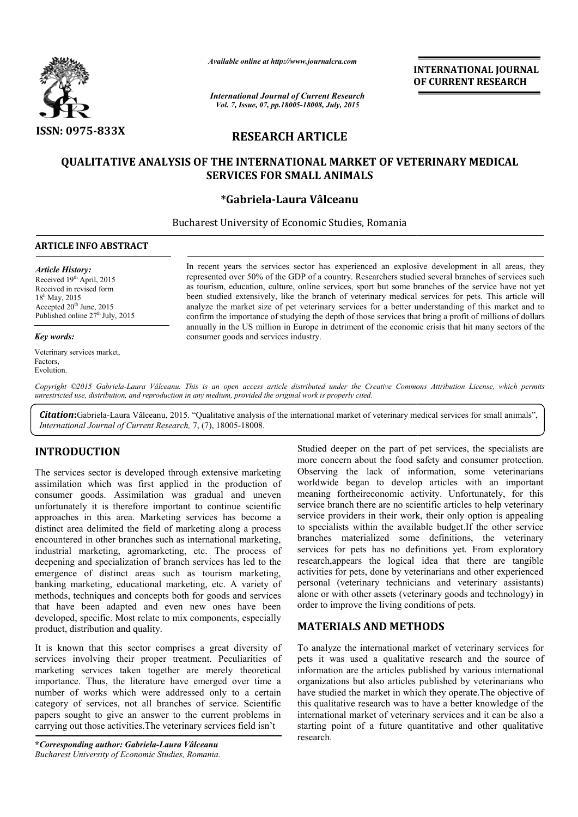

*Available online at http://www.journal http://www.journalcra.com*

*International Journal of Current Research Vol. 7, Issue, 07, pp.18005-18008, July, 2015*

**INTERNATIONAL JOURNAL OF CURRENT RESEARCH** 

# **RESEARCH ARTICLE**

# **QUALITATIVE ANALYSIS OF THE INTERNATIONAL MARKET OF VETERINARY MEDICAL MARKET OF SERVICES FOR SMALL ANIMALS**

## **\*Gabriela-Laura Vâlceanu**

Bucharest University of Economic Studies, Romania

#### **ARTICLE INFO ABSTRACT**

#### *Article History:*

Received 19<sup>th</sup> April, 2015 Received in revised form 18h May, 2015 Accepted  $20<sup>th</sup>$  June, 2015 Published online  $27<sup>th</sup>$  July, 2015

#### *Key words:*

Veterinary services market, Factors, Evolution.

In recent years the services sector has experienced an explosive development in all areas, they represented over 50% of the GDP of a country. Researchers studied several branches of services such as tourism, education, culture, online services, sport but some branches of the service have not yet been studied extensively, like the branch of veterinary medical services for pets. This article will analyze the market size of pet veterinary services for a better understanding of this market and to confirm the importance of studying the depth of those services that bring a profit of millions of dollars annually in the US million in Europe in detriment of the economic crisis that hit many sectors of the consumer goods and services industry. ears the services sector has experienced an explosive development in all areas, they over 50% of the GDP of a country. Researchers studied several branches of services such education, culture, online services, sport but so I extensively, like the branch of veterinary medical services for pets. This article we market size of pet veterinary services for a better understanding of this market and importance of studying the depth of those service

Copyright ©2015 Gabriela-Laura Vâlceanu. This is an open access article distributed under the Creative Commons Attribution License, which permits *unrestricted use, distribution, and reproduction in any medium, provided the original work is properly cited.*

Citation: Gabriela-Laura Vâlceanu, 2015. "Qualitative analysis of the international market of veterinary medical services for small animals", **Citation:**Gabriela-Laura Vâlceanu, 2015. "Qualitative analysis<br>International Journal of Current Research, 7, (7), 18005-18008.

## **INTRODUCTION**

The services sector is developed through extensive marketing assimilation which was first applied in the production of consumer goods. Assimilation was gradual and uneven unfortunately it is therefore important to continue scientific approaches in this area. Marketing services has become a distinct area delimited the field of marketing along a process encountered in other branches such as international marketing, industrial marketing, agromarketing, etc. The process of deepening and specialization of branch services has led to the emergence of distinct areas such as tourism marketing, banking marketing, educational marketing, etc. A variety of methods, techniques and concepts both for goods and services that have been adapted and even new ones have been developed, specific. Most relate to mix components, especially product, distribution and quality.

It is known that this sector comprises a great diversity of services involving their proper treatment. Peculiarities of marketing services taken together are merely theoretical importance. Thus, the literature have emerged over time a number of works which were addressed only to a certain category of services, not all branches of service. Scientific papers sought to give an answer to the current problems in carrying out those activities.The veterinary services field isn't

**\****Corresponding author: Gabriela-Laura Vâlceanu lceanuBucharest University of Economic Studies, Romania Romania.* Studied deeper on the part of pet services, the specialists are more concern about the food safety and consumer protection. Observing the lack of information, some veterinarians worldwide began to develop articles with an important Studied deeper on the part of pet services, the specialists are more concern about the food safety and consumer protection.<br>Observing the lack of information, some veterinarians worldwide began to develop articles with an service branch there are no scientific articles to help veterinary service providers in their work, their only option is appealing to specialists within the available budget.If the other service branches materialized some definitions, the veterinary services for pets has no definitions yet. From exploratory research,appears the logical idea that there are tangible activities for pets, done by veterinarians and other experienced personal (veterinary technicians and veterinary assistants) alone or with other assets (veterinary goods and technology) in order to improve the living conditions of pets. are no scientific articles to help veterinary<br>their work, their only option is appealing<br>the available budget. If the other service<br>ed some definitions, the veterinary<br>as no definitions yet. From exploratory<br>belore logical **INTERNATIONALI JOURNAL**<br> **COFF CURRENT RESEARCH**<br> **COFF CURRENT RESEARCH**<br> **COFF CURRENT RESEARCH**<br> **COFF CURRENT COFF CURRENT RESEARCH**<br> **COFF CURRENT COFF COFFERINARY MEDICAL**<br> **LANIMALS**<br> **CORF COFFERINALS**<br> **COFFERIN** 

# **MATERIALS AND METHODS**

To analyze the international market of veterinary services for pets it was used a qualitative research and the source of information are the articles published by various international organizations but also articles published by veterinarians who have studied the market in which they operate. The objective of this qualitative research was to have a better knowledge of the international market of veterinary services and it can be also a starting point of a future quantitative and other qualitative research. the various and veterinary assistants)<br>or with other assets (veterinary goods and technology) in<br>to improve the living conditions of pets.<br>**ERIALS AND METHODS**<br>alyze the international market of veterinary services for<br>t wa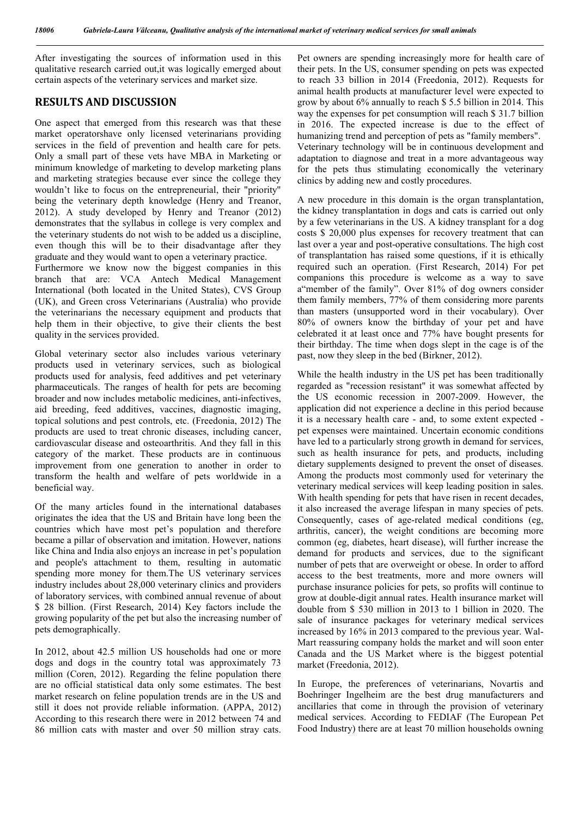After investigating the sources of information used in this qualitative research carried out,it was logically emerged about certain aspects of the veterinary services and market size.

### **RESULTS AND DISCUSSION**

One aspect that emerged from this research was that these market operatorshave only licensed veterinarians providing services in the field of prevention and health care for pets. Only a small part of these vets have MBA in Marketing or minimum knowledge of marketing to develop marketing plans and marketing strategies because ever since the college they wouldn't like to focus on the entrepreneurial, their "priority" being the veterinary depth knowledge (Henry and Treanor, 2012). A study developed by Henry and Treanor (2012) demonstrates that the syllabus in college is very complex and the veterinary students do not wish to be added us a discipline, even though this will be to their disadvantage after they graduate and they would want to open a veterinary practice.

Furthermore we know now the biggest companies in this branch that are: VCA Antech Medical Management International (both located in the United States), CVS Group (UK), and Green cross Veterinarians (Australia) who provide the veterinarians the necessary equipment and products that help them in their objective, to give their clients the best quality in the services provided.

Global veterinary sector also includes various veterinary products used in veterinary services, such as biological products used for analysis, feed additives and pet veterinary pharmaceuticals. The ranges of health for pets are becoming broader and now includes metabolic medicines, anti-infectives, aid breeding, feed additives, vaccines, diagnostic imaging, topical solutions and pest controls, etc. (Freedonia, 2012) The products are used to treat chronic diseases, including cancer, cardiovascular disease and osteoarthritis. And they fall in this category of the market. These products are in continuous improvement from one generation to another in order to transform the health and welfare of pets worldwide in a beneficial way.

Of the many articles found in the international databases originates the idea that the US and Britain have long been the countries which have most pet's population and therefore became a pillar of observation and imitation. However, nations like China and India also enjoys an increase in pet's population and people's attachment to them, resulting in automatic spending more money for them.The US veterinary services industry includes about 28,000 veterinary clinics and providers of laboratory services, with combined annual revenue of about \$ 28 billion. (First Research, 2014) Key factors include the growing popularity of the pet but also the increasing number of pets demographically.

In 2012, about 42.5 million US households had one or more dogs and dogs in the country total was approximately 73 million (Coren, 2012). Regarding the feline population there are no official statistical data only some estimates. The best market research on feline population trends are in the US and still it does not provide reliable information. (APPA, 2012) According to this research there were in 2012 between 74 and 86 million cats with master and over 50 million stray cats.

Pet owners are spending increasingly more for health care of their pets. In the US, consumer spending on pets was expected to reach 33 billion in 2014 (Freedonia, 2012). Requests for animal health products at manufacturer level were expected to grow by about 6% annually to reach \$ 5.5 billion in 2014. This way the expenses for pet consumption will reach \$ 31.7 billion in 2016. The expected increase is due to the effect of humanizing trend and perception of pets as "family members". Veterinary technology will be in continuous development and adaptation to diagnose and treat in a more advantageous way for the pets thus stimulating economically the veterinary clinics by adding new and costly procedures.

A new procedure in this domain is the organ transplantation, the kidney transplantation in dogs and cats is carried out only by a few veterinarians in the US. A kidney transplant for a dog costs \$ 20,000 plus expenses for recovery treatment that can last over a year and post-operative consultations. The high cost of transplantation has raised some questions, if it is ethically required such an operation. (First Research, 2014) For pet companions this procedure is welcome as a way to save a"member of the family". Over 81% of dog owners consider them family members, 77% of them considering more parents than masters (unsupported word in their vocabulary). Over 80% of owners know the birthday of your pet and have celebrated it at least once and 77% have bought presents for their birthday. The time when dogs slept in the cage is of the past, now they sleep in the bed (Birkner, 2012).

While the health industry in the US pet has been traditionally regarded as "recession resistant" it was somewhat affected by the US economic recession in 2007-2009. However, the application did not experience a decline in this period because it is a necessary health care - and, to some extent expected pet expenses were maintained. Uncertain economic conditions have led to a particularly strong growth in demand for services. such as health insurance for pets, and products, including dietary supplements designed to prevent the onset of diseases. Among the products most commonly used for veterinary the veterinary medical services will keep leading position in sales. With health spending for pets that have risen in recent decades, it also increased the average lifespan in many species of pets. Consequently, cases of age-related medical conditions (eg, arthritis, cancer), the weight conditions are becoming more common (eg, diabetes, heart disease), will further increase the demand for products and services, due to the significant number of pets that are overweight or obese. In order to afford access to the best treatments, more and more owners will purchase insurance policies for pets, so profits will continue to grow at double-digit annual rates. Health insurance market will double from \$ 530 million in 2013 to 1 billion in 2020. The sale of insurance packages for veterinary medical services increased by 16% in 2013 compared to the previous year. Wal-Mart reassuring company holds the market and will soon enter Canada and the US Market where is the biggest potential market (Freedonia, 2012).

In Europe, the preferences of veterinarians, Novartis and Boehringer Ingelheim are the best drug manufacturers and ancillaries that come in through the provision of veterinary medical services. According to FEDIAF (The European Pet Food Industry) there are at least 70 million households owning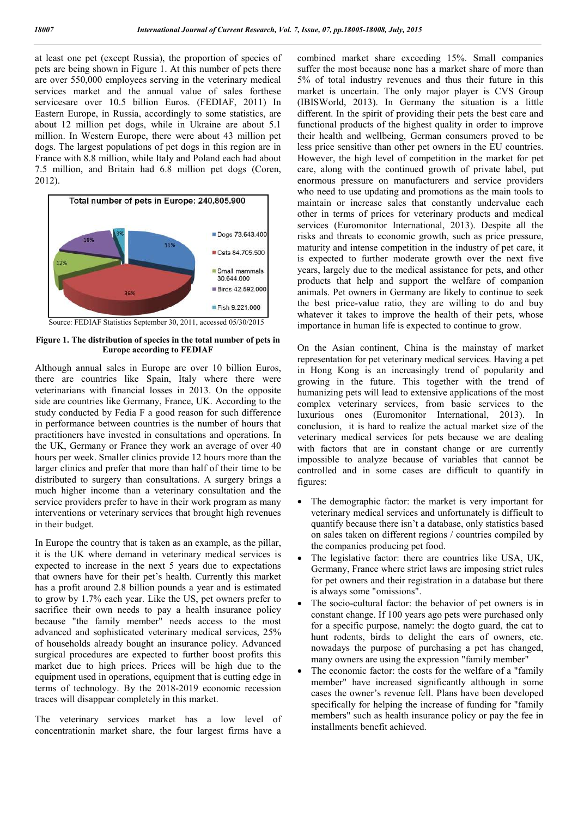at least one pet (except Russia), the proportion of species of pets are being shown in Figure 1. At this number of pets there are over 550,000 employees serving in the veterinary medical services market and the annual value of sales forthese servicesare over 10.5 billion Euros. (FEDIAF, 2011) In Eastern Europe, in Russia, accordingly to some statistics, are about 12 million pet dogs, while in Ukraine are about 5.1 million. In Western Europe, there were about 43 million pet dogs. The largest populations of pet dogs in this region are in France with 8.8 million, while Italy and Poland each had about 7.5 million, and Britain had 6.8 million pet dogs (Coren, 2012).



**Figure 1. The distribution of species in the total number of pets in Europe according to FEDIAF**

Although annual sales in Europe are over 10 billion Euros, there are countries like Spain, Italy where there were veterinarians with financial losses in 2013. On the opposite side are countries like Germany, France, UK. According to the study conducted by Fedia F a good reason for such difference in performance between countries is the number of hours that practitioners have invested in consultations and operations. In the UK, Germany or France they work an average of over 40 hours per week. Smaller clinics provide 12 hours more than the larger clinics and prefer that more than half of their time to be distributed to surgery than consultations. A surgery brings a much higher income than a veterinary consultation and the service providers prefer to have in their work program as many interventions or veterinary services that brought high revenues in their budget.

In Europe the country that is taken as an example, as the pillar, it is the UK where demand in veterinary medical services is expected to increase in the next 5 years due to expectations that owners have for their pet's health. Currently this market has a profit around 2.8 billion pounds a year and is estimated to grow by 1.7% each year. Like the US, pet owners prefer to sacrifice their own needs to pay a health insurance policy because "the family member" needs access to the most advanced and sophisticated veterinary medical services, 25% of households already bought an insurance policy. Advanced surgical procedures are expected to further boost profits this market due to high prices. Prices will be high due to the equipment used in operations, equipment that is cutting edge in terms of technology. By the 2018-2019 economic recession traces will disappear completely in this market.

The veterinary services market has a low level of concentrationin market share, the four largest firms have a combined market share exceeding 15%. Small companies suffer the most because none has a market share of more than 5% of total industry revenues and thus their future in this market is uncertain. The only major player is CVS Group (IBISWorld, 2013). In Germany the situation is a little different. In the spirit of providing their pets the best care and functional products of the highest quality in order to improve their health and wellbeing, German consumers proved to be less price sensitive than other pet owners in the EU countries. However, the high level of competition in the market for pet care, along with the continued growth of private label, put enormous pressure on manufacturers and service providers who need to use updating and promotions as the main tools to maintain or increase sales that constantly undervalue each other in terms of prices for veterinary products and medical services (Euromonitor International, 2013). Despite all the risks and threats to economic growth, such as price pressure, maturity and intense competition in the industry of pet care, it is expected to further moderate growth over the next five years, largely due to the medical assistance for pets, and other products that help and support the welfare of companion animals. Pet owners in Germany are likely to continue to seek the best price-value ratio, they are willing to do and buy whatever it takes to improve the health of their pets, whose importance in human life is expected to continue to grow.

On the Asian continent, China is the mainstay of market representation for pet veterinary medical services. Having a pet in Hong Kong is an increasingly trend of popularity and growing in the future. This together with the trend of humanizing pets will lead to extensive applications of the most complex veterinary services, from basic services to the luxurious ones (Euromonitor International, 2013). In conclusion, it is hard to realize the actual market size of the veterinary medical services for pets because we are dealing with factors that are in constant change or are currently impossible to analyze because of variables that cannot be controlled and in some cases are difficult to quantify in figures:

- The demographic factor: the market is very important for veterinary medical services and unfortunately is difficult to quantify because there isn't a database, only statistics based on sales taken on different regions / countries compiled by the companies producing pet food.
- The legislative factor: there are countries like USA, UK, Germany, France where strict laws are imposing strict rules for pet owners and their registration in a database but there is always some "omissions".
- The socio-cultural factor: the behavior of pet owners is in constant change. If 100 years ago pets were purchased only for a specific purpose, namely: the dogto guard, the cat to hunt rodents, birds to delight the ears of owners, etc. nowadays the purpose of purchasing a pet has changed, many owners are using the expression "family member"
- The economic factor: the costs for the welfare of a "family member" have increased significantly although in some cases the owner's revenue fell. Plans have been developed specifically for helping the increase of funding for "family members" such as health insurance policy or pay the fee in installments benefit achieved.